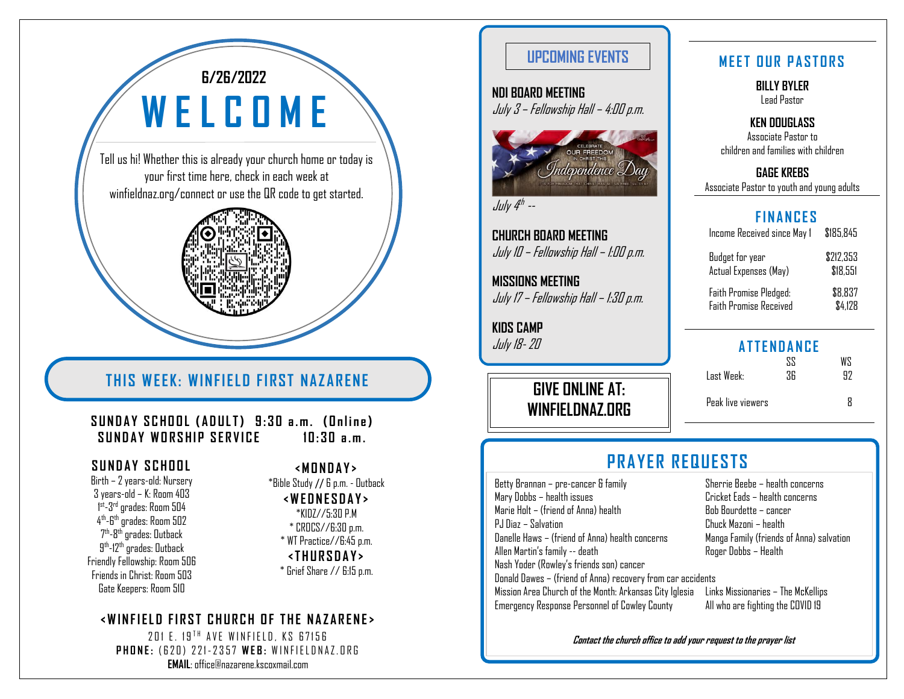# **6/26/2022 W E L C O M E**

Tell us hi! Whether this is already your church home or today is your first time here, check in each week at winfieldnaz.org/connect or use the QR code to get started.

# **THIS WEEK: WINFIELD FIRST NAZARENE**

**S U N D A Y S C H O O L ( A D U L T) 9 : 3 0 a . m . ( O n l i n e )** SUNDAY WORSHIP SERVICE **10:30 a.m.** 

Birth – 2 years-old: Nursery 3 years-old – K: Room 403 1<sup>st</sup>-3<sup>rd</sup> grades: Room 504 4<sup>th</sup>-6<sup>th</sup> grades: Room 502 7<sup>th</sup>-8<sup>th</sup> grades: Outback 9<sup>th</sup>-12<sup>th</sup> grades: Outback Friendly Fellowship: Room 506 Friends in Christ: Room 503 Gate Keepers: Room 510

**<M O N D A Y >** \*Bible Study // 6 p.m. - Outback **<W E D N E S D A Y >** \*KIDZ//5:30 P.M \* CROCS//6:30 p.m.

\* WT Practice//6:45 p.m. **<T H U R S D A Y >**

\* Grief Share // 6:15 p.m.

#### **<W I N F I E L D F I R S T C H U R C H O F T H E N A Z A R E N E>**

201 E. 19<sup>TH</sup> AVE WINFIELD, KS 67156 **PHONE: (620) 221-2357 WEB: WINFIELDNAZ.ORG EMAIL**: office@nazarene.kscoxmail.com

### **UPCOMING EVENTS NET OUR PASTORS**

**NDI BOARD MEETING** July 3 – Fellowship Hall – 4:00 p.m.



July 4<sup>th</sup> --

**CHURCH BOARD MEETING** July 10 – Fellowship Hall – 1:00 p.m.

**MISSIONS MEETING** July 17 – Fellowship Hall – 1:30 p.m.

**KIDS CAMP** July 18-20

> **GIVE ONLINE AT: WINFIELDNAZ.ORG**

**BILLY BYLER** Lead Pastor

**KEN DOUGLASS** Associate Pastor to children and families with children

**GAGE KREBS** Associate Pastor to youth and young adults

#### **F I N A N C E S**

| Income Received since May 1   | \$185,845 |
|-------------------------------|-----------|
| Budget for year               | \$212.353 |
| Actual Expenses (May)         | \$18.551  |
| <b>Faith Promise Pledged:</b> | \$8,837   |
| <b>Faith Promise Received</b> | \$4.128   |

### **A T T E N D A N C E**

|                   | 22 | 7.W |
|-------------------|----|-----|
| Last Week:        | 36 | 97  |
|                   |    |     |
| Peak live viewers |    | R   |

## SUNDAY SCHOOL **CONTRACT CONTRACTS**

Betty Brannan – pre-cancer & family Sherrie Beebe – health concerns Mary Dobbs – health issues Cricket Eads – health concerns Marie Holt – (friend of Anna) health  $\overline{B}$  Bob Bourdette – cancer PJ Diaz – Salvation<br>Danelle Haws – (friend of Anna) health concerns Manga Family (friends of Anna) salvation Danelle Haws – (friend of Anna) health concerns Allen Martin's family -- death Roger Dobbs – Health Nash Yoder (Rowley's friends son) cancer Donald Dawes – (friend of Anna) recovery from car accidents Mission Area Church of the Month: Arkansas City Iglesia Links Missionaries – The McKellips Emergency Response Personnel of Cowley County All who are fighting the COVID 19

**Contact the church office to add your request to the prayer list**